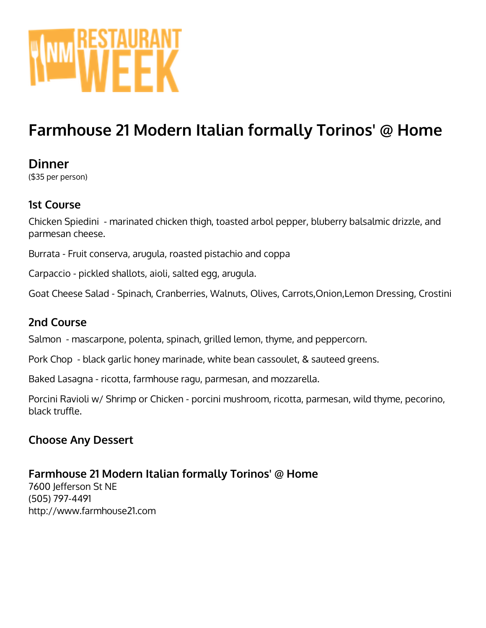

# **Farmhouse 21 Modern Italian formally Torinos' @ Home**

# **Dinner**

(\$35 per person)

# **1st Course**

Chicken Spiedini - marinated chicken thigh, toasted arbol pepper, bluberry balsalmic drizzle, and parmesan cheese.

Burrata - Fruit conserva, arugula, roasted pistachio and coppa

Carpaccio - pickled shallots, aioli, salted egg, arugula.

Goat Cheese Salad - Spinach, Cranberries, Walnuts, Olives, Carrots,Onion,Lemon Dressing, Crostini

### **2nd Course**

Salmon - mascarpone, polenta, spinach, grilled lemon, thyme, and peppercorn.

Pork Chop - black garlic honey marinade, white bean cassoulet, & sauteed greens.

Baked Lasagna - ricotta, farmhouse ragu, parmesan, and mozzarella.

Porcini Ravioli w/ Shrimp or Chicken - porcini mushroom, ricotta, parmesan, wild thyme, pecorino, black truffle.

# **Choose Any Dessert**

# **Farmhouse 21 Modern Italian formally Torinos' @ Home**

7600 Jefferson St NE (505) 797-4491 http://www.farmhouse21.com